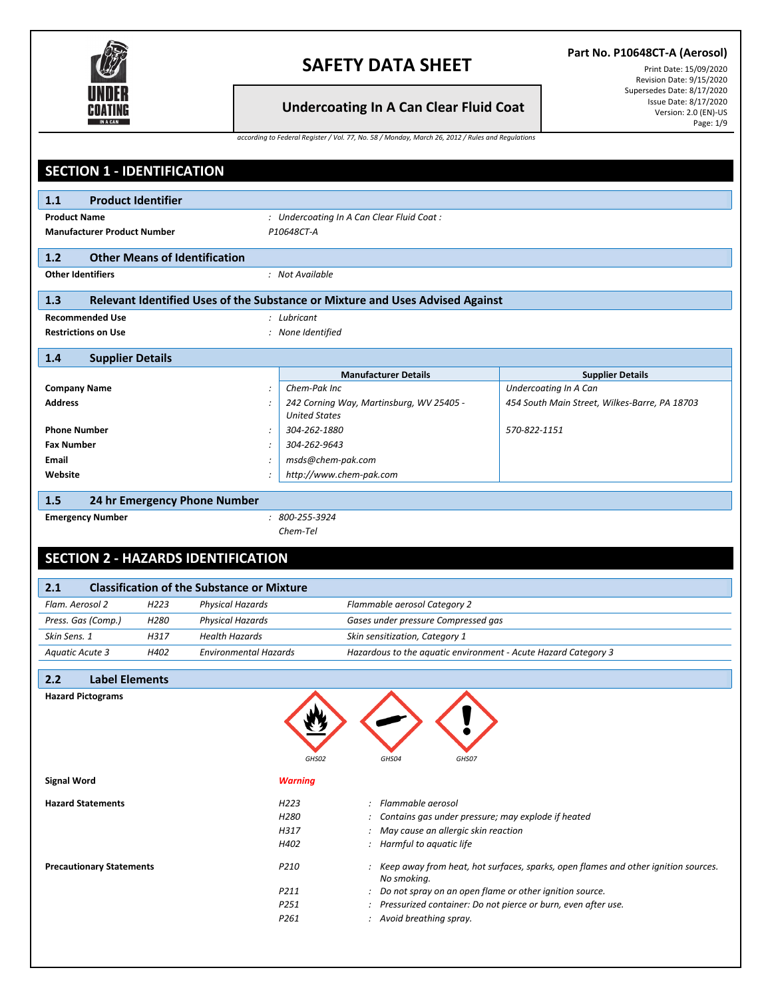

### **Part No. P10648CT-A (Aerosol)**

Print Date: 15/09/2020 Revision Date: 9/15/2020 Supersedes Date: 8/17/2020 Issue Date: 8/17/2020 Version: 2.0 (EN)-US Page: 1/9

**Undercoating In A Can Clear Fluid Coat**

|  |  | according to Federal Register / Vol. 77, No. 58 / Monday, March 26, 2012 / Rules and Regulations |
|--|--|--------------------------------------------------------------------------------------------------|
|  |  |                                                                                                  |

|                            | <b>SECTION 1 - IDENTIFICATION</b>                                                             |                  |                                                                               |                                                                |                                                                    |                                                                                      |
|----------------------------|-----------------------------------------------------------------------------------------------|------------------|-------------------------------------------------------------------------------|----------------------------------------------------------------|--------------------------------------------------------------------|--------------------------------------------------------------------------------------|
| 1.1                        | <b>Product Identifier</b>                                                                     |                  |                                                                               |                                                                |                                                                    |                                                                                      |
| <b>Product Name</b>        |                                                                                               |                  |                                                                               |                                                                |                                                                    |                                                                                      |
|                            | : Undercoating In A Can Clear Fluid Coat:<br>P10648CT-A<br><b>Manufacturer Product Number</b> |                  |                                                                               |                                                                |                                                                    |                                                                                      |
|                            |                                                                                               |                  |                                                                               |                                                                |                                                                    |                                                                                      |
| $1.2$                      |                                                                                               |                  | <b>Other Means of Identification</b>                                          |                                                                |                                                                    |                                                                                      |
| <b>Other Identifiers</b>   |                                                                                               |                  |                                                                               | : Not Available                                                |                                                                    |                                                                                      |
| 1.3                        |                                                                                               |                  | Relevant Identified Uses of the Substance or Mixture and Uses Advised Against |                                                                |                                                                    |                                                                                      |
| <b>Recommended Use</b>     |                                                                                               |                  |                                                                               | : Lubricant                                                    |                                                                    |                                                                                      |
| <b>Restrictions on Use</b> |                                                                                               |                  |                                                                               | : None Identified                                              |                                                                    |                                                                                      |
| 1.4                        | <b>Supplier Details</b>                                                                       |                  |                                                                               |                                                                |                                                                    |                                                                                      |
|                            |                                                                                               |                  |                                                                               |                                                                | <b>Manufacturer Details</b>                                        | <b>Supplier Details</b>                                                              |
| <b>Company Name</b>        |                                                                                               |                  |                                                                               | Chem-Pak Inc                                                   |                                                                    | <b>Undercoating In A Can</b>                                                         |
| <b>Address</b>             |                                                                                               |                  |                                                                               |                                                                | 242 Corning Way, Martinsburg, WV 25405 -                           | 454 South Main Street, Wilkes-Barre, PA 18703                                        |
|                            |                                                                                               |                  |                                                                               | <b>United States</b>                                           |                                                                    |                                                                                      |
| <b>Phone Number</b>        |                                                                                               |                  |                                                                               | 304-262-1880                                                   |                                                                    | 570-822-1151                                                                         |
| <b>Fax Number</b>          |                                                                                               |                  |                                                                               | 304-262-9643                                                   |                                                                    |                                                                                      |
| <b>Email</b>               |                                                                                               |                  |                                                                               | msds@chem-pak.com                                              |                                                                    |                                                                                      |
| Website                    |                                                                                               |                  |                                                                               | http://www.chem-pak.com                                        |                                                                    |                                                                                      |
| 1.5                        |                                                                                               |                  | 24 hr Emergency Phone Number                                                  |                                                                |                                                                    |                                                                                      |
| <b>Emergency Number</b>    |                                                                                               |                  |                                                                               | $: 800 - 255 - 3924$                                           |                                                                    |                                                                                      |
|                            |                                                                                               |                  |                                                                               | Chem-Tel                                                       |                                                                    |                                                                                      |
|                            |                                                                                               |                  | <b>SECTION 2 - HAZARDS IDENTIFICATION</b>                                     |                                                                |                                                                    |                                                                                      |
|                            |                                                                                               |                  |                                                                               |                                                                |                                                                    |                                                                                      |
| 2.1                        |                                                                                               |                  | <b>Classification of the Substance or Mixture</b>                             |                                                                |                                                                    |                                                                                      |
| Flam. Aerosol 2            |                                                                                               | H <sub>223</sub> | Physical Hazards                                                              | Flammable aerosol Category 2                                   |                                                                    |                                                                                      |
| Press. Gas (Comp.)         |                                                                                               | H <sub>280</sub> | <b>Physical Hazards</b>                                                       |                                                                | Gases under pressure Compressed gas                                |                                                                                      |
| Skin Sens. 1               |                                                                                               | H317             | <b>Health Hazards</b>                                                         |                                                                | Skin sensitization, Category 1                                     |                                                                                      |
| <b>Aquatic Acute 3</b>     |                                                                                               | H402             | <b>Environmental Hazards</b>                                                  | Hazardous to the aquatic environment - Acute Hazard Category 3 |                                                                    |                                                                                      |
| 2.2                        | <b>Label Elements</b>                                                                         |                  |                                                                               |                                                                |                                                                    |                                                                                      |
| <b>Hazard Pictograms</b>   |                                                                                               |                  |                                                                               |                                                                |                                                                    |                                                                                      |
|                            |                                                                                               |                  |                                                                               |                                                                |                                                                    |                                                                                      |
|                            |                                                                                               |                  |                                                                               |                                                                |                                                                    |                                                                                      |
|                            |                                                                                               |                  |                                                                               |                                                                |                                                                    |                                                                                      |
|                            |                                                                                               |                  |                                                                               | GHS02                                                          | GHS04<br>GHS07                                                     |                                                                                      |
| <b>Signal Word</b>         |                                                                                               |                  |                                                                               | <b>Warning</b>                                                 |                                                                    |                                                                                      |
|                            |                                                                                               |                  |                                                                               |                                                                |                                                                    |                                                                                      |
| <b>Hazard Statements</b>   |                                                                                               |                  |                                                                               | H223                                                           | : Flammable aerosol                                                |                                                                                      |
|                            |                                                                                               |                  |                                                                               | H <sub>280</sub><br>H317                                       |                                                                    | : Contains gas under pressure; may explode if heated                                 |
|                            |                                                                                               |                  |                                                                               | H402                                                           | : May cause an allergic skin reaction<br>: Harmful to aquatic life |                                                                                      |
|                            |                                                                                               |                  |                                                                               |                                                                |                                                                    |                                                                                      |
|                            | <b>Precautionary Statements</b>                                                               |                  |                                                                               | P210                                                           |                                                                    | : Keep away from heat, hot surfaces, sparks, open flames and other ignition sources. |
|                            |                                                                                               |                  |                                                                               | P211                                                           | No smoking.                                                        | : Do not spray on an open flame or other ignition source.                            |
|                            |                                                                                               |                  |                                                                               | P251                                                           |                                                                    | : Pressurized container: Do not pierce or burn, even after use.                      |
|                            |                                                                                               |                  |                                                                               | P261                                                           | : Avoid breathing spray.                                           |                                                                                      |
|                            |                                                                                               |                  |                                                                               |                                                                |                                                                    |                                                                                      |
|                            |                                                                                               |                  |                                                                               |                                                                |                                                                    |                                                                                      |
|                            |                                                                                               |                  |                                                                               |                                                                |                                                                    |                                                                                      |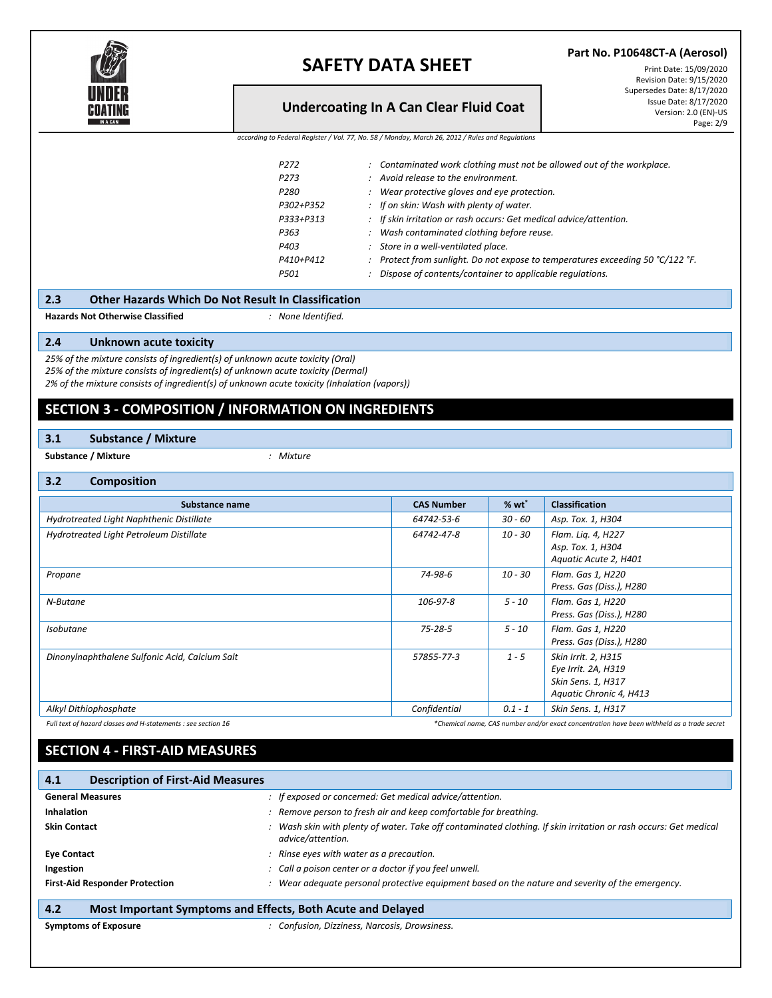

**Part No. P10648CT-A (Aerosol)**

### **Undercoating In A Can Clear Fluid Coat**

Print Date: 15/09/2020 Revision Date: 9/15/2020 Supersedes Date: 8/17/2020 Issue Date: 8/17/2020 Version: 2.0 (EN)-US Page: 2/9

*according to Federal Register / Vol. 77, No. 58 / Monday, March 26, 2012 / Rules and Regulations*

| P <sub>272</sub> | : Contaminated work clothing must not be allowed out of the workplace.         |
|------------------|--------------------------------------------------------------------------------|
| P <sub>273</sub> | : Avoid release to the environment.                                            |
| P <sub>280</sub> | Wear protective gloves and eye protection.                                     |
| P302+P352        | : If on skin: Wash with plenty of water.                                       |
| P333+P313        | : If skin irritation or rash occurs: Get medical advice/attention.             |
| P363             | : Wash contaminated clothing before reuse.                                     |
| P403             | : Store in a well-ventilated place.                                            |
| P410+P412        | : Protect from sunlight. Do not expose to temperatures exceeding 50 °C/122 °F. |
| P501             | Dispose of contents/container to applicable regulations.                       |
|                  |                                                                                |

**Hazards Not Otherwise Classified** *: None Identified.*

#### **2.4 Unknown acute toxicity**

*25% of the mixture consists of ingredient(s) of unknown acute toxicity (Oral) 25% of the mixture consists of ingredient(s) of unknown acute toxicity (Dermal) 2% of the mixture consists of ingredient(s) of unknown acute toxicity (Inhalation (vapors))*

### **SECTION 3 - COMPOSITION / INFORMATION ON INGREDIENTS**

#### **3.1 Substance / Mixture**

**Substance / Mixture** *: Mixture*

#### **3.2 Composition**

| ------------                                   |                   |           |                                                                                             |
|------------------------------------------------|-------------------|-----------|---------------------------------------------------------------------------------------------|
| Substance name                                 | <b>CAS Number</b> | $% wt^*$  | <b>Classification</b>                                                                       |
| Hydrotreated Light Naphthenic Distillate       | 64742-53-6        | 30 - 60   | Asp. Tox. 1, H304                                                                           |
| Hydrotreated Light Petroleum Distillate        | 64742-47-8        | $10 - 30$ | Flam. Lig. 4, H227<br>Asp. Tox. 1, H304<br>Aquatic Acute 2, H401                            |
| Propane                                        | 74-98-6           | $10 - 30$ | Flam. Gas 1, H220<br>Press. Gas (Diss.), H280                                               |
| N-Butane                                       | 106-97-8          | $5 - 10$  | Flam. Gas 1, H220<br>Press. Gas (Diss.), H280                                               |
| <b>Isobutane</b>                               | $75 - 28 - 5$     | $5 - 10$  | Flam. Gas 1, H220<br>Press. Gas (Diss.), H280                                               |
| Dinonylnaphthalene Sulfonic Acid, Calcium Salt | 57855-77-3        | $1 - 5$   | Skin Irrit. 2, H315<br>Eye Irrit. 2A, H319<br>Skin Sens. 1, H317<br>Aquatic Chronic 4, H413 |
| Alkyl Dithiophosphate                          | Confidential      | $0.1 - 1$ | Skin Sens. 1, H317                                                                          |
|                                                |                   |           |                                                                                             |

*Full text of hazard classes and H-statements : see section 16 \*Chemical name, CAS number and/or exact concentration have been withheld as a trade secret*

## **SECTION 4 - FIRST-AID MEASURES**

| <b>Description of First-Aid Measures</b><br>4.1 |                                                                                                                                       |
|-------------------------------------------------|---------------------------------------------------------------------------------------------------------------------------------------|
| <b>General Measures</b>                         | : If exposed or concerned: Get medical advice/attention.                                                                              |
| <b>Inhalation</b>                               | Remove person to fresh air and keep comfortable for breathing.                                                                        |
| <b>Skin Contact</b>                             | : Wash skin with plenty of water. Take off contaminated clothing. If skin irritation or rash occurs: Get medical<br>advice/attention. |
| <b>Eye Contact</b>                              | : Rinse eyes with water as a precaution.                                                                                              |
| Ingestion                                       | : Call a poison center or a doctor if you feel unwell.                                                                                |
| <b>First-Aid Responder Protection</b>           | Wear adequate personal protective equipment based on the nature and severity of the emergency.                                        |

- **4.2 Most Important Symptoms and Effects, Both Acute and Delayed**
- 
- **Symptoms of Exposure** *: Confusion, Dizziness, Narcosis, Drowsiness.*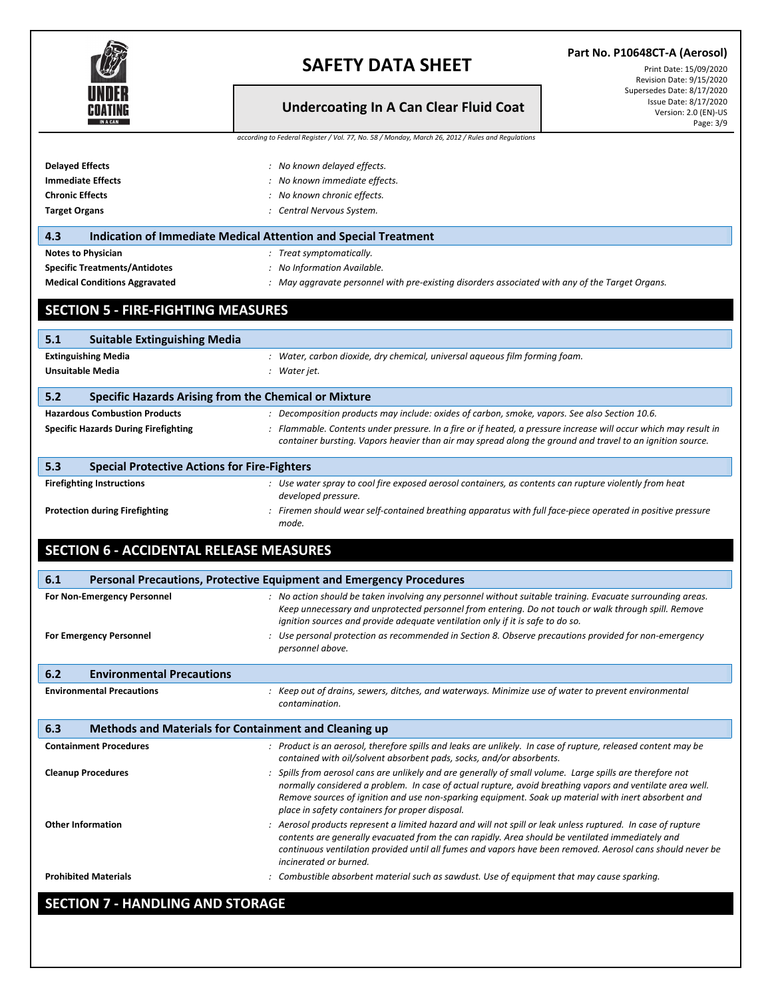| V<br>s     |
|------------|
| A CAN<br>N |

### **Part No. P10648CT-A (Aerosol)**

## **Undercoating In A Can Clear Fluid Coat**

Print Date: 15/09/2020 Revision Date: 9/15/2020 Supersedes Date: 8/17/2020 Issue Date: 8/17/2020 Version: 2.0 (EN)-US Page: 3/9

|  | according to Federal Register / Vol. 77, No. 58 / Monday, March 26, 2012 / Rules and Regulations |  |  |  |  |
|--|--------------------------------------------------------------------------------------------------|--|--|--|--|
|--|--------------------------------------------------------------------------------------------------|--|--|--|--|

| <b>Delayed Effects</b>                                       | : No known delayed effects.                                                                                                                                                                                                                                                                                                                                                       |  |  |  |
|--------------------------------------------------------------|-----------------------------------------------------------------------------------------------------------------------------------------------------------------------------------------------------------------------------------------------------------------------------------------------------------------------------------------------------------------------------------|--|--|--|
| <b>Immediate Effects</b>                                     | : No known immediate effects.                                                                                                                                                                                                                                                                                                                                                     |  |  |  |
| <b>Chronic Effects</b>                                       | : No known chronic effects.                                                                                                                                                                                                                                                                                                                                                       |  |  |  |
| <b>Target Organs</b>                                         | : Central Nervous System.                                                                                                                                                                                                                                                                                                                                                         |  |  |  |
| 4.3                                                          | <b>Indication of Immediate Medical Attention and Special Treatment</b>                                                                                                                                                                                                                                                                                                            |  |  |  |
| <b>Notes to Physician</b>                                    | : Treat symptomatically.                                                                                                                                                                                                                                                                                                                                                          |  |  |  |
| <b>Specific Treatments/Antidotes</b>                         | : No Information Available.                                                                                                                                                                                                                                                                                                                                                       |  |  |  |
| <b>Medical Conditions Aggravated</b>                         | : May aggravate personnel with pre-existing disorders associated with any of the Target Organs.                                                                                                                                                                                                                                                                                   |  |  |  |
| <b>SECTION 5 - FIRE-FIGHTING MEASURES</b>                    |                                                                                                                                                                                                                                                                                                                                                                                   |  |  |  |
| 5.1<br><b>Suitable Extinguishing Media</b>                   |                                                                                                                                                                                                                                                                                                                                                                                   |  |  |  |
| <b>Extinguishing Media</b>                                   | : Water, carbon dioxide, dry chemical, universal aqueous film forming foam.                                                                                                                                                                                                                                                                                                       |  |  |  |
| <b>Unsuitable Media</b>                                      | : Water jet.                                                                                                                                                                                                                                                                                                                                                                      |  |  |  |
| 5.2<br>Specific Hazards Arising from the Chemical or Mixture |                                                                                                                                                                                                                                                                                                                                                                                   |  |  |  |
| <b>Hazardous Combustion Products</b>                         |                                                                                                                                                                                                                                                                                                                                                                                   |  |  |  |
|                                                              | : Decomposition products may include: oxides of carbon, smoke, vapors. See also Section 10.6.                                                                                                                                                                                                                                                                                     |  |  |  |
| <b>Specific Hazards During Firefighting</b>                  | : Flammable. Contents under pressure. In a fire or if heated, a pressure increase will occur which may result in<br>container bursting. Vapors heavier than air may spread along the ground and travel to an ignition source.                                                                                                                                                     |  |  |  |
| 5.3<br><b>Special Protective Actions for Fire-Fighters</b>   |                                                                                                                                                                                                                                                                                                                                                                                   |  |  |  |
| <b>Firefighting Instructions</b>                             | : Use water spray to cool fire exposed aerosol containers, as contents can rupture violently from heat<br>developed pressure.                                                                                                                                                                                                                                                     |  |  |  |
| <b>Protection during Firefighting</b>                        | : Firemen should wear self-contained breathing apparatus with full face-piece operated in positive pressure<br>mode.                                                                                                                                                                                                                                                              |  |  |  |
| <b>SECTION 6 - ACCIDENTAL RELEASE MEASURES</b>               |                                                                                                                                                                                                                                                                                                                                                                                   |  |  |  |
| 6.1                                                          | Personal Precautions, Protective Equipment and Emergency Procedures                                                                                                                                                                                                                                                                                                               |  |  |  |
| For Non-Emergency Personnel                                  | : No action should be taken involving any personnel without suitable training. Evacuate surrounding areas.<br>Keep unnecessary and unprotected personnel from entering. Do not touch or walk through spill. Remove<br>ignition sources and provide adequate ventilation only if it is safe to do so.                                                                              |  |  |  |
| <b>For Emergency Personnel</b>                               | : Use personal protection as recommended in Section 8. Observe precautions provided for non-emergency<br>personnel above.                                                                                                                                                                                                                                                         |  |  |  |
| 6.2<br><b>Environmental Precautions</b>                      |                                                                                                                                                                                                                                                                                                                                                                                   |  |  |  |
| <b>Environmental Precautions</b>                             | : Keep out of drains, sewers, ditches, and waterways. Minimize use of water to prevent environmental<br>contamination.                                                                                                                                                                                                                                                            |  |  |  |
| 6.3<br>Methods and Materials for Containment and Cleaning up |                                                                                                                                                                                                                                                                                                                                                                                   |  |  |  |
| <b>Containment Procedures</b>                                | : Product is an aerosol, therefore spills and leaks are unlikely. In case of rupture, released content may be<br>contained with oil/solvent absorbent pads, socks, and/or absorbents.                                                                                                                                                                                             |  |  |  |
| <b>Cleanup Procedures</b>                                    | : Spills from aerosol cans are unlikely and are generally of small volume. Large spills are therefore not<br>normally considered a problem. In case of actual rupture, avoid breathing vapors and ventilate area well.<br>Remove sources of ignition and use non-sparking equipment. Soak up material with inert absorbent and<br>place in safety containers for proper disposal. |  |  |  |
| <b>Other Information</b>                                     | : Aerosol products represent a limited hazard and will not spill or leak unless ruptured. In case of rupture<br>contents are generally evacuated from the can rapidly. Area should be ventilated immediately and<br>continuous ventilation provided until all fumes and vapors have been removed. Aerosol cans should never be<br>incinerated or burned.                          |  |  |  |
| <b>Prohibited Materials</b>                                  | : Combustible absorbent material such as sawdust. Use of equipment that may cause sparking.                                                                                                                                                                                                                                                                                       |  |  |  |
|                                                              |                                                                                                                                                                                                                                                                                                                                                                                   |  |  |  |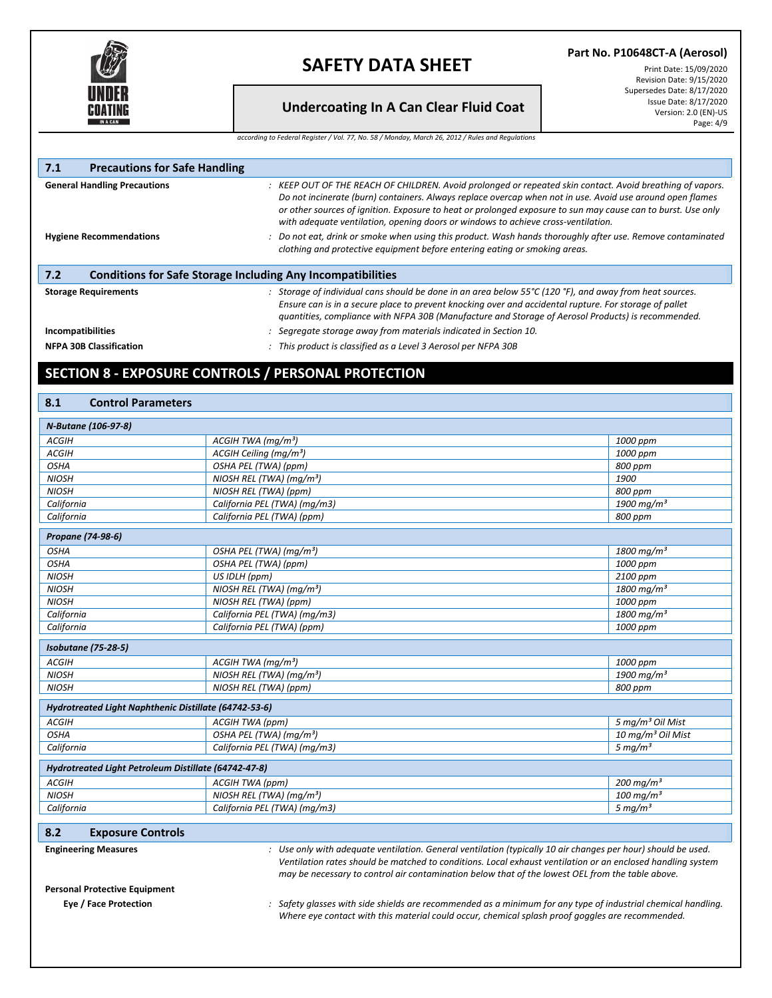

**Part No. P10648CT-A (Aerosol)**

### **Undercoating In A Can Clear Fluid Coat**

Print Date: 15/09/2020 Revision Date: 9/15/2020 Supersedes Date: 8/17/2020 Issue Date: 8/17/2020 Version: 2.0 (EN)-US Page: 4/9

*according to Federal Register / Vol. 77, No. 58 / Monday, March 26, 2012 / Rules and Regulations*

| 7.1<br><b>Precautions for Safe Handling</b> |                                                                                                                                                                                                                                                                                                                                                                                                                             |
|---------------------------------------------|-----------------------------------------------------------------------------------------------------------------------------------------------------------------------------------------------------------------------------------------------------------------------------------------------------------------------------------------------------------------------------------------------------------------------------|
| <b>General Handling Precautions</b>         | : KEEP OUT OF THE REACH OF CHILDREN. Avoid prolonged or repeated skin contact. Avoid breathing of vapors.<br>Do not incinerate (burn) containers. Always replace overcap when not in use. Avoid use around open flames<br>or other sources of ignition. Exposure to heat or prolonged exposure to sun may cause can to burst. Use only<br>with adequate ventilation, opening doors or windows to achieve cross-ventilation. |
| <b>Hygiene Recommendations</b>              | Do not eat, drink or smoke when using this product. Wash hands thoroughly after use. Remove contaminated<br>clothing and protective equipment before entering eating or smoking areas.                                                                                                                                                                                                                                      |
| 7.2                                         | <b>Conditions for Safe Storage Including Any Incompatibilities</b>                                                                                                                                                                                                                                                                                                                                                          |
| <b>Storage Requirements</b>                 | Storage of individual cans should be done in an area below $55^{\circ}$ C (120 $^{\circ}$ F), and away from heat sources.<br>Ensure can is in a secure place to prevent knocking over and accidental rupture. For storage of pallet<br>guantities, compliance with NFPA 30B (Manufacture and Storage of Aerosol Products) is recommended.                                                                                   |
| Incompatibilities                           | Segregate storage away from materials indicated in Section 10.                                                                                                                                                                                                                                                                                                                                                              |
| <b>NFPA 30B Classification</b>              | This product is classified as a Level 3 Aerosol per NFPA 30B                                                                                                                                                                                                                                                                                                                                                                |

### **SECTION 8 - EXPOSURE CONTROLS / PERSONAL PROTECTION**

#### **8.1 Control Parameters**

| N-Butane (106-97-8)                                   |                                                                                                                                                                                                                                                                                                                                  |                               |  |  |
|-------------------------------------------------------|----------------------------------------------------------------------------------------------------------------------------------------------------------------------------------------------------------------------------------------------------------------------------------------------------------------------------------|-------------------------------|--|--|
| <b>ACGIH</b>                                          | ACGIH TWA ( $mq/m3$ )                                                                                                                                                                                                                                                                                                            | 1000 ppm                      |  |  |
| <b>ACGIH</b>                                          | ACGIH Ceiling (mg/m <sup>3</sup> )                                                                                                                                                                                                                                                                                               | 1000 ppm                      |  |  |
| <b>OSHA</b>                                           | OSHA PEL (TWA) (ppm)                                                                                                                                                                                                                                                                                                             | 800 ppm                       |  |  |
| <b>NIOSH</b>                                          | NIOSH REL (TWA) (mg/m <sup>3</sup> )                                                                                                                                                                                                                                                                                             | 1900                          |  |  |
| <b>NIOSH</b>                                          | NIOSH REL (TWA) (ppm)                                                                                                                                                                                                                                                                                                            | 800 ppm                       |  |  |
| California                                            | California PEL (TWA) (mg/m3)                                                                                                                                                                                                                                                                                                     | 1900 mg/m <sup>3</sup>        |  |  |
| California                                            | California PEL (TWA) (ppm)                                                                                                                                                                                                                                                                                                       | 800 ppm                       |  |  |
| Propane (74-98-6)                                     |                                                                                                                                                                                                                                                                                                                                  |                               |  |  |
| <b>OSHA</b>                                           | OSHA PEL (TWA) (mg/m <sup>3</sup> )                                                                                                                                                                                                                                                                                              | 1800 mg/m <sup>3</sup>        |  |  |
| <b>OSHA</b>                                           | OSHA PEL (TWA) (ppm)                                                                                                                                                                                                                                                                                                             | 1000 ppm                      |  |  |
| <b>NIOSH</b>                                          | US IDLH (ppm)                                                                                                                                                                                                                                                                                                                    | 2100 ppm                      |  |  |
| <b>NIOSH</b>                                          | NIOSH REL (TWA) ( $mq/m3$ )                                                                                                                                                                                                                                                                                                      | 1800 mg/m <sup>3</sup>        |  |  |
| <b>NIOSH</b>                                          | NIOSH REL (TWA) (ppm)                                                                                                                                                                                                                                                                                                            | 1000 ppm                      |  |  |
| California                                            | California PEL (TWA) (mg/m3)                                                                                                                                                                                                                                                                                                     | 1800 mg/m <sup>3</sup>        |  |  |
| California                                            | California PEL (TWA) (ppm)                                                                                                                                                                                                                                                                                                       | 1000 ppm                      |  |  |
| <b>Isobutane (75-28-5)</b>                            |                                                                                                                                                                                                                                                                                                                                  |                               |  |  |
| <b>ACGIH</b>                                          | ACGIH TWA ( $mq/m^3$ )                                                                                                                                                                                                                                                                                                           | 1000 ppm                      |  |  |
| <b>NIOSH</b>                                          | NIOSH REL (TWA) ( $mq/m3$ )                                                                                                                                                                                                                                                                                                      | 1900 mg/m <sup>3</sup>        |  |  |
| <b>NIOSH</b>                                          | NIOSH REL (TWA) (ppm)                                                                                                                                                                                                                                                                                                            | 800 ppm                       |  |  |
| Hydrotreated Light Naphthenic Distillate (64742-53-6) |                                                                                                                                                                                                                                                                                                                                  |                               |  |  |
| <b>ACGIH</b>                                          | ACGIH TWA (ppm)                                                                                                                                                                                                                                                                                                                  | 5 mg/m <sup>3</sup> Oil Mist  |  |  |
| <b>OSHA</b>                                           | OSHA PEL (TWA) (mg/m <sup>3</sup> )                                                                                                                                                                                                                                                                                              | 10 mg/m <sup>3</sup> Oil Mist |  |  |
| California                                            | California PEL (TWA) (mg/m3)                                                                                                                                                                                                                                                                                                     | 5 mg/ $m3$                    |  |  |
| Hydrotreated Light Petroleum Distillate (64742-47-8)  |                                                                                                                                                                                                                                                                                                                                  |                               |  |  |
| <b>ACGIH</b>                                          | ACGIH TWA (ppm)                                                                                                                                                                                                                                                                                                                  | 200 mg/m <sup>3</sup>         |  |  |
| <b>NIOSH</b>                                          | NIOSH REL (TWA) ( $mq/m3$ )                                                                                                                                                                                                                                                                                                      | $100 \text{ mg/m}^3$          |  |  |
| California                                            | California PEL (TWA) (mg/m3)                                                                                                                                                                                                                                                                                                     | 5 mg/m <sup>3</sup>           |  |  |
| 8.2<br><b>Exposure Controls</b>                       |                                                                                                                                                                                                                                                                                                                                  |                               |  |  |
| <b>Engineering Measures</b>                           | : Use only with adequate ventilation. General ventilation (typically 10 air changes per hour) should be used.<br>Ventilation rates should be matched to conditions. Local exhaust ventilation or an enclosed handling system<br>may be necessary to control air contamination below that of the lowest OEL from the table above. |                               |  |  |

**Personal Protective Equipment**

**Eye / Face Protection** *: Safety glasses with side shields are recommended as a minimum for any type of industrial chemical handling. Where eye contact with this material could occur, chemical splash proof goggles are recommended.*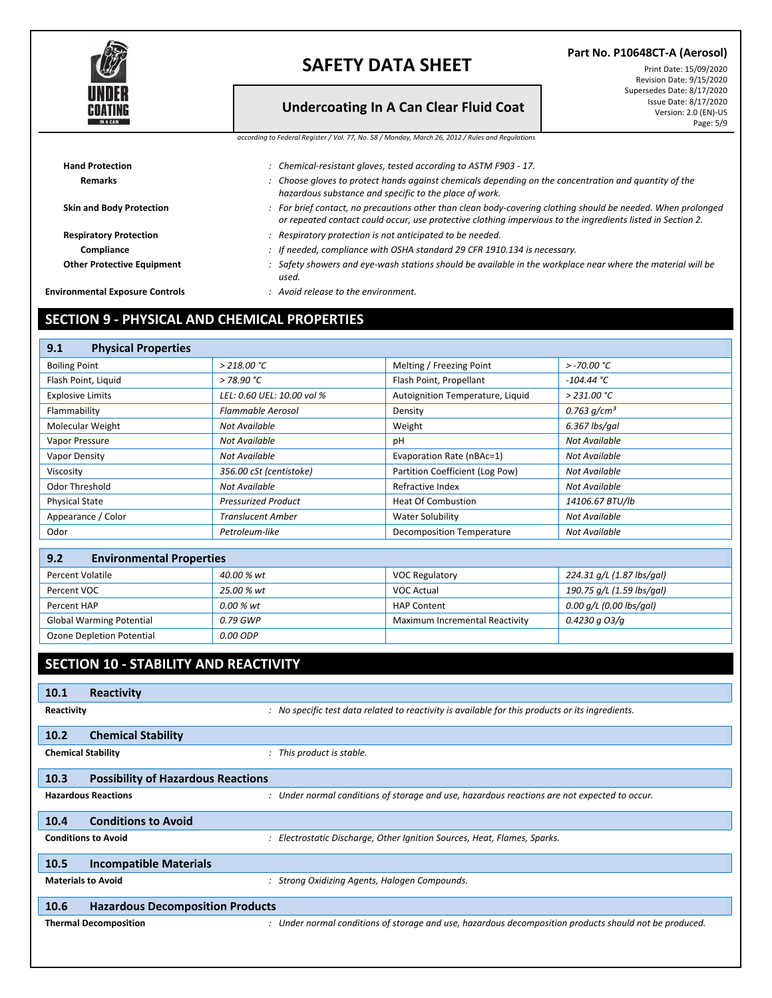

### **Undercoating In A Can Clear Fluid Coat**

**Part No. P10648CT-A (Aerosol)** Print Date: 15/09/2020 Revision Date: 9/15/2020 Supersedes Date: 8/17/2020 Issue Date: 8/17/2020 Version: 2.0 (EN)-US Page: 5/9

*according to Federal Register / Vol. 77, No. 58 / Monday, March 26, 2012 / Rules and Regulations*

| <b>Hand Protection</b>                 | : Chemical-resistant gloves, tested according to ASTM F903 - 17.                                                                                                                                                            |
|----------------------------------------|-----------------------------------------------------------------------------------------------------------------------------------------------------------------------------------------------------------------------------|
| <b>Remarks</b>                         | : Choose gloves to protect hands against chemicals depending on the concentration and quantity of the<br>hazardous substance and specific to the place of work.                                                             |
| <b>Skin and Body Protection</b>        | : For brief contact, no precautions other than clean body-covering clothing should be needed. When prolonged<br>or repeated contact could occur, use protective clothing impervious to the ingredients listed in Section 2. |
| <b>Respiratory Protection</b>          | : Respiratory protection is not anticipated to be needed.                                                                                                                                                                   |
| Compliance                             | : If needed, compliance with OSHA standard 29 CFR 1910.134 is necessary.                                                                                                                                                    |
| <b>Other Protective Equipment</b>      | Safety showers and eye-wash stations should be available in the workplace near where the material will be<br>used.                                                                                                          |
| <b>Environmental Exposure Controls</b> | $:$ Avoid release to the environment.                                                                                                                                                                                       |
|                                        |                                                                                                                                                                                                                             |

## **SECTION 9 - PHYSICAL AND CHEMICAL PROPERTIES**

| <b>Physical Properties</b><br>9.1 |                            |                                  |                 |
|-----------------------------------|----------------------------|----------------------------------|-----------------|
| <b>Boiling Point</b>              | $>$ 218.00 °C              | Melting / Freezing Point         | $>$ -70.00 °C   |
| Flash Point, Liquid               | > 78.90 °C                 | Flash Point, Propellant          | $-104.44 °C$    |
| <b>Explosive Limits</b>           | LEL: 0.60 UEL: 10.00 vol % | Autoignition Temperature, Liquid | $>$ 231.00 °C   |
| Flammability                      | Flammable Aerosol          | Density                          | 0.763 $q/cm^3$  |
| Molecular Weight                  | Not Available              | Weight                           | 6.367 lbs/gal   |
| Vapor Pressure                    | Not Available              | рH                               | Not Available   |
| Vapor Density                     | Not Available              | Evaporation Rate (nBAc=1)        | Not Available   |
| Viscosity                         | 356.00 cSt (centistoke)    | Partition Coefficient (Log Pow)  | Not Available   |
| Odor Threshold                    | Not Available              | Refractive Index                 | Not Available   |
| <b>Physical State</b>             | <b>Pressurized Product</b> | Heat Of Combustion               | 14106.67 BTU/lb |
| Appearance / Color                | Translucent Amber          | Water Solubility                 | Not Available   |
| Odor                              | Petroleum-like             | <b>Decomposition Temperature</b> | Not Available   |

| 9.2<br><b>Environmental Properties</b> |            |                                |                           |  |  |  |  |
|----------------------------------------|------------|--------------------------------|---------------------------|--|--|--|--|
| Percent Volatile                       | 40.00 % wt | <b>VOC Regulatory</b>          | 224.31 g/L (1.87 lbs/gal) |  |  |  |  |
| Percent VOC                            | 25.00 % wt | VOC Actual                     | 190.75 g/L (1.59 lbs/gal) |  |  |  |  |
| Percent HAP                            | 0.00 % wt  | <b>HAP Content</b>             | 0.00 g/L (0.00 lbs/gal)   |  |  |  |  |
| <b>Global Warming Potential</b>        | 0.79 GWP   | Maximum Incremental Reactivity | 0.4230 a O3/a             |  |  |  |  |
| Ozone Depletion Potential              | 0.00 ODP   |                                |                           |  |  |  |  |

## **SECTION 10 - STABILITY AND REACTIVITY**

| 10.1       | Reactivity                                |                                                                                                        |
|------------|-------------------------------------------|--------------------------------------------------------------------------------------------------------|
| Reactivity |                                           | : No specific test data related to reactivity is available for this products or its ingredients.       |
| 10.2       | <b>Chemical Stability</b>                 |                                                                                                        |
|            | <b>Chemical Stability</b>                 | This product is stable.<br>$\mathcal{I}$                                                               |
| 10.3       | <b>Possibility of Hazardous Reactions</b> |                                                                                                        |
|            | <b>Hazardous Reactions</b>                | : Under normal conditions of storage and use, hazardous reactions are not expected to occur.           |
| 10.4       | <b>Conditions to Avoid</b>                |                                                                                                        |
|            | <b>Conditions to Avoid</b>                | Electrostatic Discharge, Other Ignition Sources, Heat, Flames, Sparks.                                 |
| 10.5       | <b>Incompatible Materials</b>             |                                                                                                        |
|            | <b>Materials to Avoid</b>                 | Strong Oxidizing Agents, Halogen Compounds.<br>$\mathcal{I}$                                           |
| 10.6       | <b>Hazardous Decomposition Products</b>   |                                                                                                        |
|            | <b>Thermal Decomposition</b>              | : Under normal conditions of storage and use, hazardous decomposition products should not be produced. |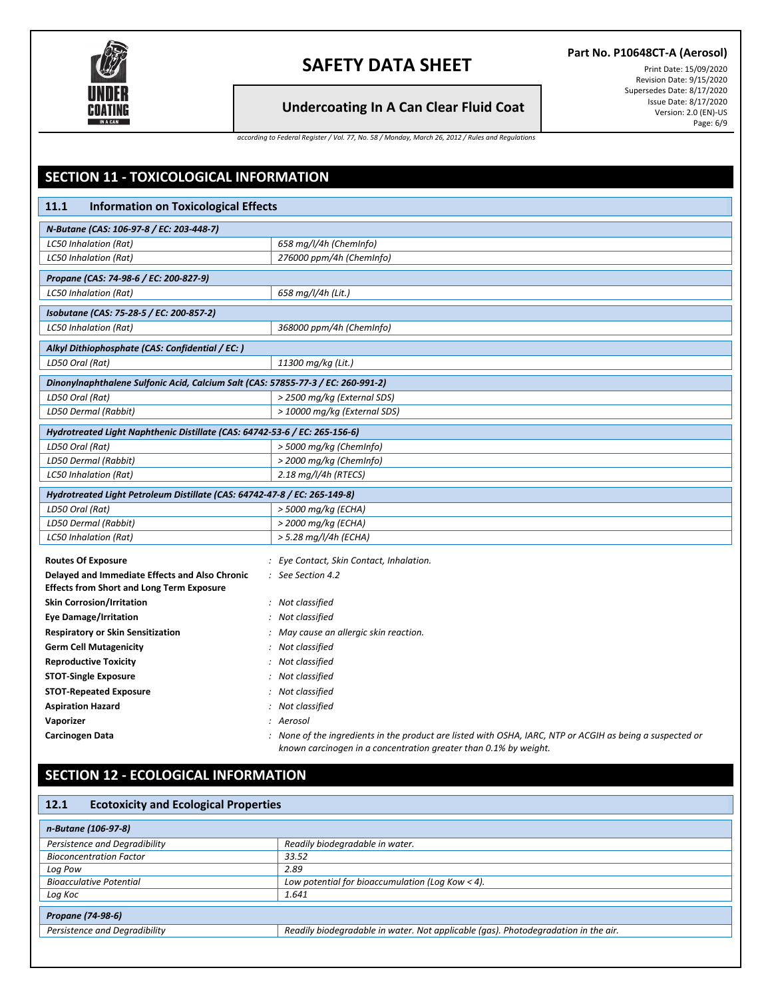

### **Undercoating In A Can Clear Fluid Coat**

**Part No. P10648CT-A (Aerosol)**

Print Date: 15/09/2020 Revision Date: 9/15/2020 Supersedes Date: 8/17/2020 Issue Date: 8/17/2020 Version: 2.0 (EN)-US Page: 6/9

*according to Federal Register / Vol. 77, No. 58 / Monday, March 26, 2012 / Rules and Regulations*

| SECTION 11 - TOXICOLOGICAL INFORMATION                                           |                                                                                                                                                                               |
|----------------------------------------------------------------------------------|-------------------------------------------------------------------------------------------------------------------------------------------------------------------------------|
|                                                                                  |                                                                                                                                                                               |
| 11.1<br><b>Information on Toxicological Effects</b>                              |                                                                                                                                                                               |
| N-Butane (CAS: 106-97-8 / EC: 203-448-7)                                         |                                                                                                                                                                               |
| <b>LC50 Inhalation (Rat)</b>                                                     | 658 mg/l/4h (ChemInfo)                                                                                                                                                        |
| LC50 Inhalation (Rat)                                                            | 276000 ppm/4h (ChemInfo)                                                                                                                                                      |
| Propane (CAS: 74-98-6 / EC: 200-827-9)                                           |                                                                                                                                                                               |
| <b>LC50 Inhalation (Rat)</b>                                                     | 658 mg/l/4h (Lit.)                                                                                                                                                            |
| Isobutane (CAS: 75-28-5 / EC: 200-857-2)                                         |                                                                                                                                                                               |
| <b>LC50 Inhalation (Rat)</b>                                                     | 368000 ppm/4h (ChemInfo)                                                                                                                                                      |
| Alkyl Dithiophosphate (CAS: Confidential / EC: )                                 |                                                                                                                                                                               |
| LD50 Oral (Rat)                                                                  | 11300 mg/kg (Lit.)                                                                                                                                                            |
| Dinonylnaphthalene Sulfonic Acid, Calcium Salt (CAS: 57855-77-3 / EC: 260-991-2) |                                                                                                                                                                               |
| LD50 Oral (Rat)                                                                  | > 2500 mg/kg (External SDS)                                                                                                                                                   |
| LD50 Dermal (Rabbit)                                                             | > 10000 mg/kg (External SDS)                                                                                                                                                  |
| Hydrotreated Light Naphthenic Distillate (CAS: 64742-53-6 / EC: 265-156-6)       |                                                                                                                                                                               |
| LD50 Oral (Rat)                                                                  | > 5000 mg/kg (ChemInfo)                                                                                                                                                       |
| LD50 Dermal (Rabbit)                                                             | > 2000 mg/kg (ChemInfo)                                                                                                                                                       |
| LC50 Inhalation (Rat)                                                            | $2.18$ mg/l/4h (RTECS)                                                                                                                                                        |
| Hydrotreated Light Petroleum Distillate (CAS: 64742-47-8 / EC: 265-149-8)        |                                                                                                                                                                               |
| LD50 Oral (Rat)                                                                  | > 5000 mg/kg (ECHA)                                                                                                                                                           |
| LD50 Dermal (Rabbit)                                                             | > 2000 mg/kg (ECHA)                                                                                                                                                           |
| <b>LC50 Inhalation (Rat)</b>                                                     | > 5.28 mg/l/4h (ECHA)                                                                                                                                                         |
| <b>Routes Of Exposure</b>                                                        | : Eye Contact, Skin Contact, Inhalation.                                                                                                                                      |
| Delayed and Immediate Effects and Also Chronic                                   | $:$ See Section 4.2                                                                                                                                                           |
| <b>Effects from Short and Long Term Exposure</b>                                 |                                                                                                                                                                               |
| <b>Skin Corrosion/Irritation</b>                                                 | : Not classified                                                                                                                                                              |
| <b>Eye Damage/Irritation</b>                                                     | : Not classified                                                                                                                                                              |
| <b>Respiratory or Skin Sensitization</b>                                         | : May cause an allergic skin reaction.                                                                                                                                        |
| <b>Germ Cell Mutagenicity</b>                                                    | : Not classified                                                                                                                                                              |
| <b>Reproductive Toxicity</b>                                                     | : Not classified                                                                                                                                                              |
| <b>STOT-Single Exposure</b>                                                      | : Not classified                                                                                                                                                              |
| <b>STOT-Repeated Exposure</b>                                                    | : Not classified                                                                                                                                                              |
| <b>Aspiration Hazard</b>                                                         | : Not classified                                                                                                                                                              |
| Vaporizer                                                                        | : Aerosol                                                                                                                                                                     |
| Carcinogen Data                                                                  | : None of the ingredients in the product are listed with OSHA, IARC, NTP or ACGIH as being a suspected or<br>known carcinogen in a concentration greater than 0.1% by weight. |

# **SECTION 12 - ECOLOGICAL INFORMATION**

| <b>Ecotoxicity and Ecological Properties</b><br>12.1 |                                                                                    |  |  |  |
|------------------------------------------------------|------------------------------------------------------------------------------------|--|--|--|
| n-Butane (106-97-8)                                  |                                                                                    |  |  |  |
| Persistence and Degradibility                        | Readily biodegradable in water.                                                    |  |  |  |
| <b>Bioconcentration Factor</b>                       | 33.52                                                                              |  |  |  |
| Log Pow                                              | 2.89                                                                               |  |  |  |
| <b>Bioacculative Potential</b>                       | Low potential for bioaccumulation (Log Kow $<$ 4).                                 |  |  |  |
| Log Koc                                              | 1.641                                                                              |  |  |  |
| Propane (74-98-6)                                    |                                                                                    |  |  |  |
| Persistence and Degradibility                        | Readily biodegradable in water. Not applicable (gas). Photodegradation in the air. |  |  |  |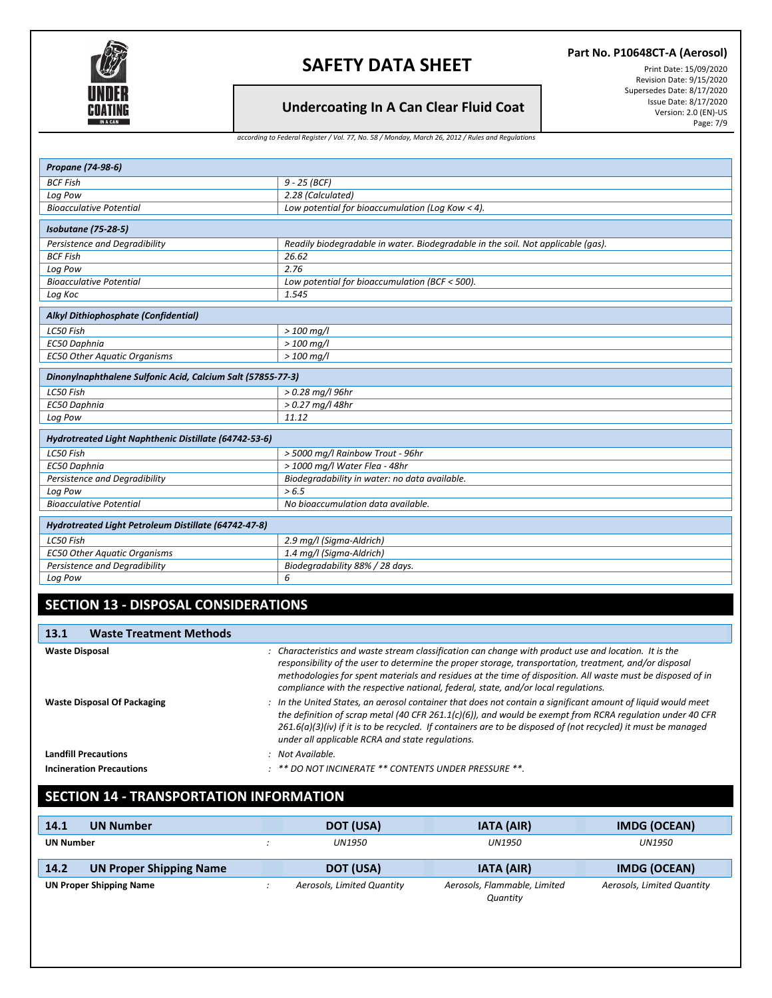

*according to Federal Register / Vol. 77, No. 58 / Monday, March 26, 2012 / Rules and Regulations*

#### **Part No. P10648CT-A (Aerosol)**

Print Date: 15/09/2020 Revision Date: 9/15/2020 Supersedes Date: 8/17/2020 Issue Date: 8/17/2020 Version: 2.0 (EN)-US Page: 7/9

**Undercoating In A Can Clear Fluid Coat**

| Propane (74-98-6)                                           |                                                                                  |  |
|-------------------------------------------------------------|----------------------------------------------------------------------------------|--|
| <b>BCF Fish</b>                                             | 9 - 25 (BCF)                                                                     |  |
| Log Pow                                                     | 2.28 (Calculated)                                                                |  |
| <b>Bioacculative Potential</b>                              | Low potential for bioaccumulation (Log Kow < 4).                                 |  |
| Isobutane (75-28-5)                                         |                                                                                  |  |
| Persistence and Degradibility                               | Readily biodegradable in water. Biodegradable in the soil. Not applicable (gas). |  |
| <b>BCF Fish</b>                                             | 26.62                                                                            |  |
| Log Pow                                                     | 2.76                                                                             |  |
| <b>Bioacculative Potential</b>                              | Low potential for bioaccumulation (BCF < 500).                                   |  |
| Log Koc                                                     | 1.545                                                                            |  |
| Alkyl Dithiophosphate (Confidential)                        |                                                                                  |  |
| LC50 Fish                                                   | $>$ 100 mg/l                                                                     |  |
| EC50 Daphnia                                                | $>100$ mg/l                                                                      |  |
| <b>EC50 Other Aquatic Organisms</b>                         | $> 100$ mg/l                                                                     |  |
| Dinonylnaphthalene Sulfonic Acid, Calcium Salt (57855-77-3) |                                                                                  |  |
| LC50 Fish                                                   | > 0.28 mg/l 96hr                                                                 |  |
| <b>EC50 Daphnia</b>                                         | $> 0.27$ mg/l 48hr                                                               |  |
| Log Pow                                                     | 11.12                                                                            |  |
| Hydrotreated Light Naphthenic Distillate (64742-53-6)       |                                                                                  |  |
| LC50 Fish                                                   | > 5000 mg/l Rainbow Trout - 96hr                                                 |  |
| EC50 Daphnia                                                | > 1000 mg/l Water Flea - 48hr                                                    |  |
| Persistence and Degradibility                               | Biodegradability in water: no data available.                                    |  |
| Log Pow                                                     | > 6.5                                                                            |  |
| <b>Bioacculative Potential</b>                              | No bioaccumulation data available.                                               |  |
| Hydrotreated Light Petroleum Distillate (64742-47-8)        |                                                                                  |  |
| LC50 Fish                                                   | 2.9 mg/l (Sigma-Aldrich)                                                         |  |
| <b>EC50 Other Aquatic Organisms</b>                         | 1.4 mg/l (Sigma-Aldrich)                                                         |  |
| Persistence and Degradibility                               | Biodegradability 88% / 28 days.                                                  |  |

#### *Log Pow 6*

## **SECTION 13 - DISPOSAL CONSIDERATIONS**

| <b>Waste Treatment Methods</b><br><b>13.1</b> |                                                                                                                                                                                                                                                                                                                                                                                                                      |
|-----------------------------------------------|----------------------------------------------------------------------------------------------------------------------------------------------------------------------------------------------------------------------------------------------------------------------------------------------------------------------------------------------------------------------------------------------------------------------|
| <b>Waste Disposal</b>                         | : Characteristics and waste stream classification can change with product use and location. It is the<br>responsibility of the user to determine the proper storage, transportation, treatment, and/or disposal<br>methodologies for spent materials and residues at the time of disposition. All waste must be disposed of in<br>compliance with the respective national, federal, state, and/or local regulations. |
| <b>Waste Disposal Of Packaging</b>            | : In the United States, an aerosol container that does not contain a significant amount of liquid would meet<br>the definition of scrap metal (40 CFR 261.1(c)(6)), and would be exempt from RCRA regulation under 40 CFR<br>$261.6(a)(3)(iv)$ if it is to be recycled. If containers are to be disposed of (not recycled) it must be managed<br>under all applicable RCRA and state regulations.                    |
| <b>Landfill Precautions</b>                   | : Not Available.                                                                                                                                                                                                                                                                                                                                                                                                     |
| <b>Incineration Precautions</b>               | : ** DO NOT INCINERATE ** CONTENTS UNDER PRESSURE **.                                                                                                                                                                                                                                                                                                                                                                |

## **SECTION 14 - TRANSPORTATION INFORMATION**

| 14.1             | <b>UN Number</b>               |  | DOT (USA)                  | <b>IATA (AIR)</b>                        | <b>IMDG (OCEAN)</b>        |  |
|------------------|--------------------------------|--|----------------------------|------------------------------------------|----------------------------|--|
| <b>UN Number</b> |                                |  | UN1950                     | UN1950                                   | <b>UN1950</b>              |  |
| 14.2             | <b>UN Proper Shipping Name</b> |  | <b>DOT (USA)</b>           | <b>IATA (AIR)</b>                        | <b>IMDG (OCEAN)</b>        |  |
|                  | <b>UN Proper Shipping Name</b> |  | Aerosols, Limited Quantity | Aerosols, Flammable, Limited<br>Quantity | Aerosols, Limited Quantity |  |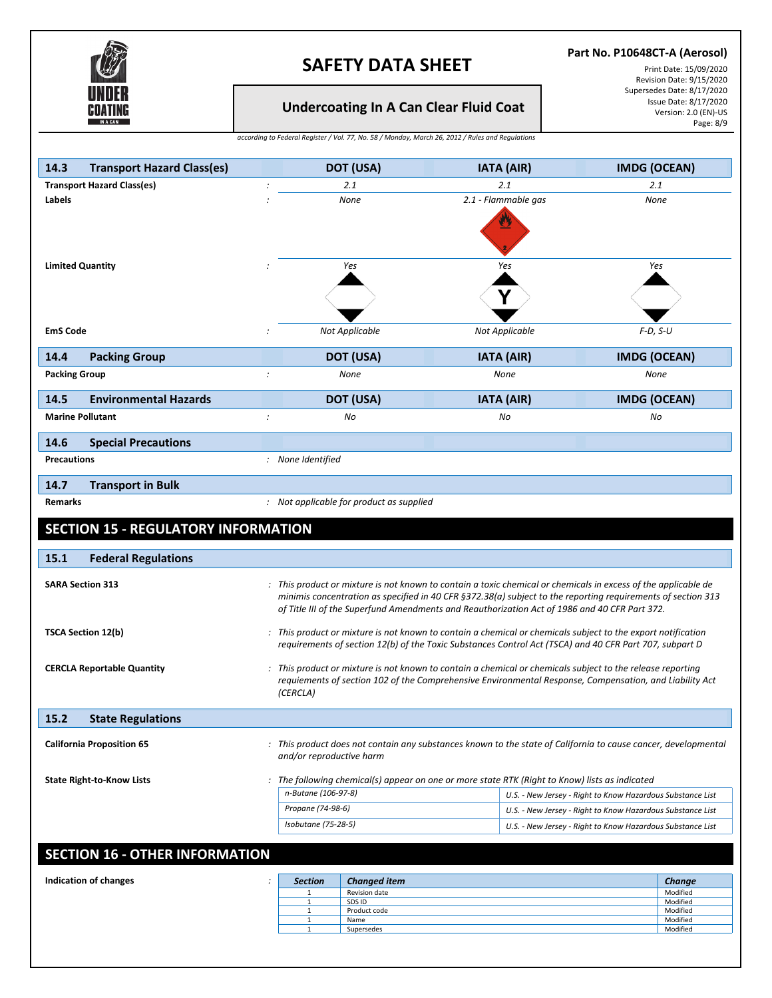

### **Part No. P10648CT-A (Aerosol)**

Print Date: 15/09/2020 Revision Date: 9/15/2020 Supersedes Date: 8/17/2020 Issue Date: 8/17/2020 Version: 2.0 (EN)-US Page: 8/9

**Undercoating In A Can Clear Fluid Coat**

*according to Federal Register / Vol. 77, No. 58 / Monday, March 26, 2012 / Rules and Regulations*

| 14.3<br><b>Transport Hazard Class(es)</b>                                                                                                                                      |                                                                                                                                                                                                                         | <b>DOT (USA)</b>                                                                                                                                                                                                                                                                                                                | <b>IATA (AIR)</b>   |  | <b>IMDG (OCEAN)</b> |                                  |
|--------------------------------------------------------------------------------------------------------------------------------------------------------------------------------|-------------------------------------------------------------------------------------------------------------------------------------------------------------------------------------------------------------------------|---------------------------------------------------------------------------------------------------------------------------------------------------------------------------------------------------------------------------------------------------------------------------------------------------------------------------------|---------------------|--|---------------------|----------------------------------|
| <b>Transport Hazard Class(es)</b>                                                                                                                                              |                                                                                                                                                                                                                         | 2.1                                                                                                                                                                                                                                                                                                                             | 2.1                 |  | 2.1                 |                                  |
| Labels                                                                                                                                                                         |                                                                                                                                                                                                                         | None                                                                                                                                                                                                                                                                                                                            | 2.1 - Flammable gas |  | None                |                                  |
| <b>Limited Quantity</b>                                                                                                                                                        |                                                                                                                                                                                                                         | Yes                                                                                                                                                                                                                                                                                                                             | Yes<br>Υ            |  | Yes                 |                                  |
| <b>EmS Code</b>                                                                                                                                                                |                                                                                                                                                                                                                         | Not Applicable                                                                                                                                                                                                                                                                                                                  | Not Applicable      |  | $F-D, S-U$          |                                  |
| 14.4<br><b>Packing Group</b>                                                                                                                                                   |                                                                                                                                                                                                                         | <b>DOT (USA)</b>                                                                                                                                                                                                                                                                                                                | <b>IATA (AIR)</b>   |  | <b>IMDG (OCEAN)</b> |                                  |
| <b>Packing Group</b>                                                                                                                                                           | $\cdot$                                                                                                                                                                                                                 | None                                                                                                                                                                                                                                                                                                                            | None                |  | None                |                                  |
| 14.5<br><b>Environmental Hazards</b>                                                                                                                                           |                                                                                                                                                                                                                         | DOT (USA)                                                                                                                                                                                                                                                                                                                       | <b>IATA (AIR)</b>   |  | <b>IMDG (OCEAN)</b> |                                  |
| <b>Marine Pollutant</b>                                                                                                                                                        | $\cdot$                                                                                                                                                                                                                 | No                                                                                                                                                                                                                                                                                                                              | No                  |  | No                  |                                  |
| <b>Special Precautions</b><br>14.6                                                                                                                                             |                                                                                                                                                                                                                         |                                                                                                                                                                                                                                                                                                                                 |                     |  |                     |                                  |
| <b>Precautions</b>                                                                                                                                                             | : None Identified                                                                                                                                                                                                       |                                                                                                                                                                                                                                                                                                                                 |                     |  |                     |                                  |
| 14.7<br><b>Transport in Bulk</b>                                                                                                                                               |                                                                                                                                                                                                                         |                                                                                                                                                                                                                                                                                                                                 |                     |  |                     |                                  |
| <b>Remarks</b>                                                                                                                                                                 |                                                                                                                                                                                                                         | : Not applicable for product as supplied                                                                                                                                                                                                                                                                                        |                     |  |                     |                                  |
| <b>SECTION 15 - REGULATORY INFORMATION</b>                                                                                                                                     |                                                                                                                                                                                                                         |                                                                                                                                                                                                                                                                                                                                 |                     |  |                     |                                  |
| 15.1<br><b>Federal Regulations</b>                                                                                                                                             |                                                                                                                                                                                                                         |                                                                                                                                                                                                                                                                                                                                 |                     |  |                     |                                  |
| <b>SARA Section 313</b>                                                                                                                                                        |                                                                                                                                                                                                                         | : This product or mixture is not known to contain a toxic chemical or chemicals in excess of the applicable de<br>minimis concentration as specified in 40 CFR §372.38(a) subject to the reporting requirements of section 313<br>of Title III of the Superfund Amendments and Reauthorization Act of 1986 and 40 CFR Part 372. |                     |  |                     |                                  |
| <b>TSCA Section 12(b)</b>                                                                                                                                                      | : This product or mixture is not known to contain a chemical or chemicals subject to the export notification<br>requirements of section 12(b) of the Toxic Substances Control Act (TSCA) and 40 CFR Part 707, subpart D |                                                                                                                                                                                                                                                                                                                                 |                     |  |                     |                                  |
| <b>CERCLA Reportable Quantity</b>                                                                                                                                              | (CERCLA)                                                                                                                                                                                                                | : This product or mixture is not known to contain a chemical or chemicals subject to the release reporting<br>requiements of section 102 of the Comprehensive Environmental Response, Compensation, and Liability Act                                                                                                           |                     |  |                     |                                  |
| 15.2<br><b>State Regulations</b>                                                                                                                                               |                                                                                                                                                                                                                         |                                                                                                                                                                                                                                                                                                                                 |                     |  |                     |                                  |
| <b>California Proposition 65</b><br>: This product does not contain any substances known to the state of California to cause cancer, developmental<br>and/or reproductive harm |                                                                                                                                                                                                                         |                                                                                                                                                                                                                                                                                                                                 |                     |  |                     |                                  |
| <b>State Right-to-Know Lists</b>                                                                                                                                               |                                                                                                                                                                                                                         | : The following chemical(s) appear on one or more state RTK (Right to Know) lists as indicated                                                                                                                                                                                                                                  |                     |  |                     |                                  |
|                                                                                                                                                                                | n-Butane (106-97-8)<br>U.S. - New Jersey - Right to Know Hazardous Substance List                                                                                                                                       |                                                                                                                                                                                                                                                                                                                                 |                     |  |                     |                                  |
|                                                                                                                                                                                |                                                                                                                                                                                                                         | Propane (74-98-6)<br>U.S. - New Jersey - Right to Know Hazardous Substance List<br>Isobutane (75-28-5)<br>U.S. - New Jersey - Right to Know Hazardous Substance List                                                                                                                                                            |                     |  |                     |                                  |
|                                                                                                                                                                                |                                                                                                                                                                                                                         |                                                                                                                                                                                                                                                                                                                                 |                     |  |                     |                                  |
| <b>SECTION 16 - OTHER INFORMATION</b>                                                                                                                                          |                                                                                                                                                                                                                         |                                                                                                                                                                                                                                                                                                                                 |                     |  |                     |                                  |
| <b>Indication of changes</b>                                                                                                                                                   | <b>Section</b><br>÷                                                                                                                                                                                                     | <b>Changed item</b>                                                                                                                                                                                                                                                                                                             |                     |  |                     | Change                           |
|                                                                                                                                                                                | $\mathbf 1$<br>$\,1\,$<br>$\mathbf{1}$                                                                                                                                                                                  | Revision date<br>SDS ID<br>Product code                                                                                                                                                                                                                                                                                         |                     |  |                     | Modified<br>Modified<br>Modified |

1 Name Modified **Name** Modified 1 Supersedes Modified